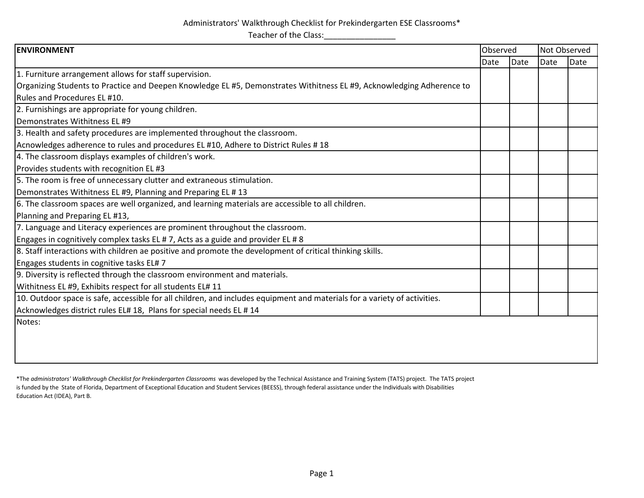## Administrators' Walkthrough Checklist for Prekindergarten ESE Classrooms\* Teacher of the Class:\_\_\_\_\_\_\_\_\_\_\_\_\_\_\_\_

| <b>ENVIRONMENT</b>                                                                                                        |      | Observed |      | Not Observed |  |
|---------------------------------------------------------------------------------------------------------------------------|------|----------|------|--------------|--|
|                                                                                                                           | Date | Date     | Date | Date         |  |
| 1. Furniture arrangement allows for staff supervision.                                                                    |      |          |      |              |  |
| Organizing Students to Practice and Deepen Knowledge EL #5, Demonstrates Withitness EL #9, Acknowledging Adherence to     |      |          |      |              |  |
| Rules and Procedures EL #10.                                                                                              |      |          |      |              |  |
| 2. Furnishings are appropriate for young children.                                                                        |      |          |      |              |  |
| Demonstrates Withitness EL #9                                                                                             |      |          |      |              |  |
| 3. Health and safety procedures are implemented throughout the classroom.                                                 |      |          |      |              |  |
| Acnowledges adherence to rules and procedures EL #10, Adhere to District Rules #18                                        |      |          |      |              |  |
| 4. The classroom displays examples of children's work.                                                                    |      |          |      |              |  |
| Provides students with recognition EL #3                                                                                  |      |          |      |              |  |
| 5. The room is free of unnecessary clutter and extraneous stimulation.                                                    |      |          |      |              |  |
| Demonstrates Withitness EL #9, Planning and Preparing EL # 13                                                             |      |          |      |              |  |
| 6. The classroom spaces are well organized, and learning materials are accessible to all children.                        |      |          |      |              |  |
| Planning and Preparing EL #13,                                                                                            |      |          |      |              |  |
| 7. Language and Literacy experiences are prominent throughout the classroom.                                              |      |          |      |              |  |
| Engages in cognitively complex tasks EL # 7, Acts as a guide and provider EL # 8                                          |      |          |      |              |  |
| 8. Staff interactions with children ae positive and promote the development of critical thinking skills.                  |      |          |      |              |  |
| Engages students in cognitive tasks EL#7                                                                                  |      |          |      |              |  |
| 9. Diversity is reflected through the classroom environment and materials.                                                |      |          |      |              |  |
| Withitness EL #9, Exhibits respect for all students EL# 11                                                                |      |          |      |              |  |
| 10. Outdoor space is safe, accessible for all children, and includes equipment and materials for a variety of activities. |      |          |      |              |  |
| Acknowledges district rules EL# 18, Plans for special needs EL # 14                                                       |      |          |      |              |  |
| Notes:                                                                                                                    |      |          |      |              |  |
|                                                                                                                           |      |          |      |              |  |
|                                                                                                                           |      |          |      |              |  |
|                                                                                                                           |      |          |      |              |  |

\*The *administrators' Walkthrough Checklist for Prekindergarten Classrooms* was developed by the Technical Assistance and Training System (TATS) project. The TATS project is funded by the State of Florida, Department of Exceptional Education and Student Services (BEESS), through federal assistance under the Individuals with Disabilities Education Act (IDEA), Part B.